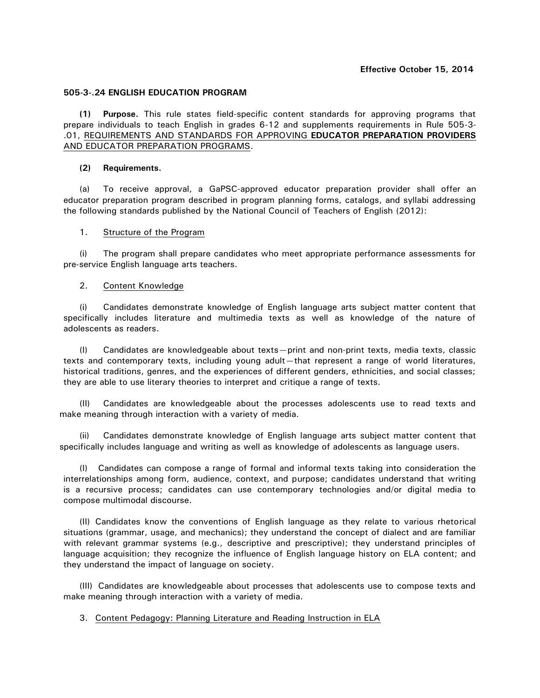## **505-3-.24 ENGLISH EDUCATION PROGRAM**

**(1) Purpose.** This rule states field-specific content standards for approving programs that prepare individuals to teach English in grades 6-12 and supplements requirements in Rule 505-3- .01, REQUIREMENTS AND STANDARDS FOR APPROVING **EDUCATOR PREPARATION PROVIDERS**  AND EDUCATOR PREPARATION PROGRAMS.

## **(2) Requirements.**

(a) To receive approval, a GaPSC-approved educator preparation provider shall offer an educator preparation program described in program planning forms, catalogs, and syllabi addressing the following standards published by the National Council of Teachers of English (2012):

## 1. Structure of the Program

(i) The program shall prepare candidates who meet appropriate performance assessments for pre-service English language arts teachers.

## 2. Content Knowledge

(i) Candidates demonstrate knowledge of English language arts subject matter content that specifically includes literature and multimedia texts as well as knowledge of the nature of adolescents as readers.

(I) Candidates are knowledgeable about texts—print and non-print texts, media texts, classic texts and contemporary texts, including young adult—that represent a range of world literatures, historical traditions, genres, and the experiences of different genders, ethnicities, and social classes; they are able to use literary theories to interpret and critique a range of texts.

(II) Candidates are knowledgeable about the processes adolescents use to read texts and make meaning through interaction with a variety of media.

(ii) Candidates demonstrate knowledge of English language arts subject matter content that specifically includes language and writing as well as knowledge of adolescents as language users.

(I) Candidates can compose a range of formal and informal texts taking into consideration the interrelationships among form, audience, context, and purpose; candidates understand that writing is a recursive process; candidates can use contemporary technologies and/or digital media to compose multimodal discourse.

(II) Candidates know the conventions of English language as they relate to various rhetorical situations (grammar, usage, and mechanics); they understand the concept of dialect and are familiar with relevant grammar systems (e.g., descriptive and prescriptive); they understand principles of language acquisition; they recognize the influence of English language history on ELA content; and they understand the impact of language on society.

(III) Candidates are knowledgeable about processes that adolescents use to compose texts and make meaning through interaction with a variety of media.

# 3. Content Pedagogy: Planning Literature and Reading Instruction in ELA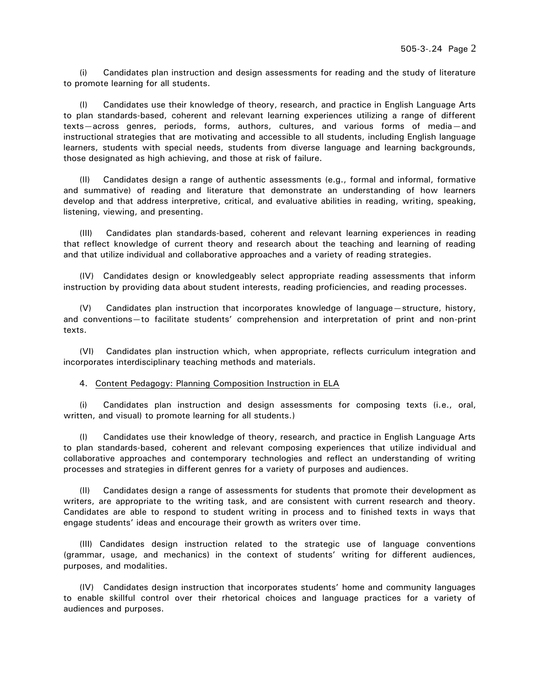(i) Candidates plan instruction and design assessments for reading and the study of literature to promote learning for all students.

(I) Candidates use their knowledge of theory, research, and practice in English Language Arts to plan standards-based, coherent and relevant learning experiences utilizing a range of different texts—across genres, periods, forms, authors, cultures, and various forms of media—and instructional strategies that are motivating and accessible to all students, including English language learners, students with special needs, students from diverse language and learning backgrounds, those designated as high achieving, and those at risk of failure.

(II) Candidates design a range of authentic assessments (e.g., formal and informal, formative and summative) of reading and literature that demonstrate an understanding of how learners develop and that address interpretive, critical, and evaluative abilities in reading, writing, speaking, listening, viewing, and presenting.

(III) Candidates plan standards-based, coherent and relevant learning experiences in reading that reflect knowledge of current theory and research about the teaching and learning of reading and that utilize individual and collaborative approaches and a variety of reading strategies.

(IV) Candidates design or knowledgeably select appropriate reading assessments that inform instruction by providing data about student interests, reading proficiencies, and reading processes.

(V) Candidates plan instruction that incorporates knowledge of language—structure, history, and conventions—to facilitate students' comprehension and interpretation of print and non-print texts.

(VI) Candidates plan instruction which, when appropriate, reflects curriculum integration and incorporates interdisciplinary teaching methods and materials.

4. Content Pedagogy: Planning Composition Instruction in ELA

(i) Candidates plan instruction and design assessments for composing texts (i.e., oral, written, and visual) to promote learning for all students.)

(I) Candidates use their knowledge of theory, research, and practice in English Language Arts to plan standards-based, coherent and relevant composing experiences that utilize individual and collaborative approaches and contemporary technologies and reflect an understanding of writing processes and strategies in different genres for a variety of purposes and audiences.

(II) Candidates design a range of assessments for students that promote their development as writers, are appropriate to the writing task, and are consistent with current research and theory. Candidates are able to respond to student writing in process and to finished texts in ways that engage students' ideas and encourage their growth as writers over time.

(III) Candidates design instruction related to the strategic use of language conventions (grammar, usage, and mechanics) in the context of students' writing for different audiences, purposes, and modalities.

(IV) Candidates design instruction that incorporates students' home and community languages to enable skillful control over their rhetorical choices and language practices for a variety of audiences and purposes.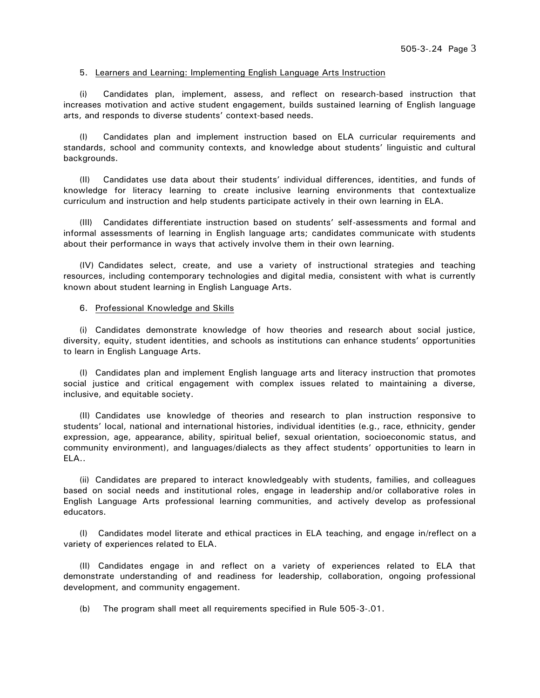## 5. Learners and Learning: Implementing English Language Arts Instruction

(i) Candidates plan, implement, assess, and reflect on research-based instruction that increases motivation and active student engagement, builds sustained learning of English language arts, and responds to diverse students' context-based needs.

(I) Candidates plan and implement instruction based on ELA curricular requirements and standards, school and community contexts, and knowledge about students' linguistic and cultural backgrounds.

(II) Candidates use data about their students' individual differences, identities, and funds of knowledge for literacy learning to create inclusive learning environments that contextualize curriculum and instruction and help students participate actively in their own learning in ELA.

(III) Candidates differentiate instruction based on students' self-assessments and formal and informal assessments of learning in English language arts; candidates communicate with students about their performance in ways that actively involve them in their own learning.

(IV) Candidates select, create, and use a variety of instructional strategies and teaching resources, including contemporary technologies and digital media, consistent with what is currently known about student learning in English Language Arts.

## 6. Professional Knowledge and Skills

(i) Candidates demonstrate knowledge of how theories and research about social justice, diversity, equity, student identities, and schools as institutions can enhance students' opportunities to learn in English Language Arts.

(I) Candidates plan and implement English language arts and literacy instruction that promotes social justice and critical engagement with complex issues related to maintaining a diverse, inclusive, and equitable society.

(II) Candidates use knowledge of theories and research to plan instruction responsive to students' local, national and international histories, individual identities (e.g., race, ethnicity, gender expression, age, appearance, ability, spiritual belief, sexual orientation, socioeconomic status, and community environment), and languages/dialects as they affect students' opportunities to learn in ELA..

(ii) Candidates are prepared to interact knowledgeably with students, families, and colleagues based on social needs and institutional roles, engage in leadership and/or collaborative roles in English Language Arts professional learning communities, and actively develop as professional educators.

(I) Candidates model literate and ethical practices in ELA teaching, and engage in/reflect on a variety of experiences related to ELA.

(II) Candidates engage in and reflect on a variety of experiences related to ELA that demonstrate understanding of and readiness for leadership, collaboration, ongoing professional development, and community engagement.

(b) The program shall meet all requirements specified in Rule 505-3-.01.